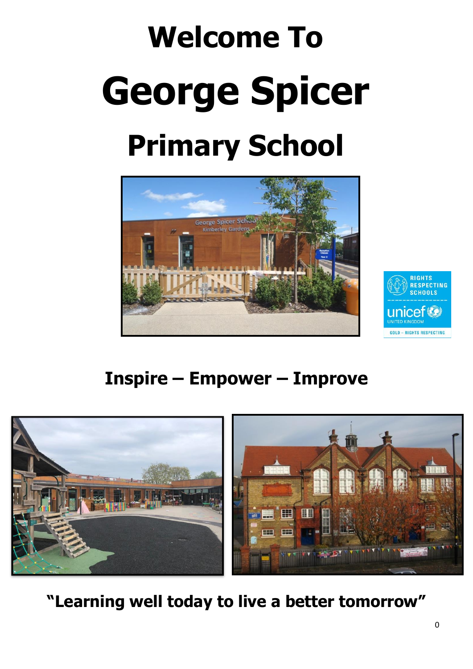# **Welcome To George Spicer Primary School**





## **Inspire – Empower – Improve**



**"Learning well today to live a better tomorrow"**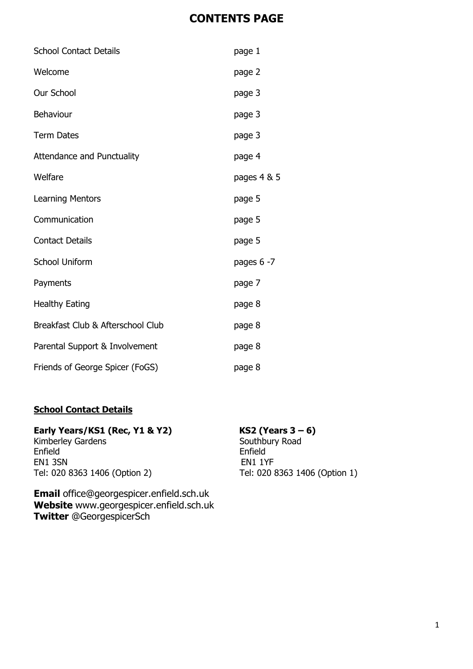#### **CONTENTS PAGE**

| <b>School Contact Details</b>     | page 1        |
|-----------------------------------|---------------|
| Welcome                           | page 2        |
| Our School                        | page 3        |
| Behaviour                         | page 3        |
| <b>Term Dates</b>                 | page 3        |
| <b>Attendance and Punctuality</b> | page 4        |
| Welfare                           | pages 4 & 5   |
| <b>Learning Mentors</b>           | page 5        |
| Communication                     | page 5        |
| <b>Contact Details</b>            | page 5        |
| <b>School Uniform</b>             | pages $6 - 7$ |
| Payments                          | page 7        |
| <b>Healthy Eating</b>             | page 8        |
| Breakfast Club & Afterschool Club | page 8        |
| Parental Support & Involvement    | page 8        |
| Friends of George Spicer (FoGS)   | page 8        |

#### **School Contact Details**

# **Early Years/KS1 (Rec, Y1 & Y2) KS2 (Years 3 – 6)**<br>Kimberley Gardens **Example 20** Southbury Road

Kimberley Gardens Enfield Enfield EN1 3SN EN1 1YF<br>Tel: 020 8363 1406 (Option 2) Tel: 020 8

**Email** [office@georgespicer.enfield.sch.uk](mailto:office@georgespicer.enfield.sch.uk) **Website** www.georgespicer.enfield.sch.uk **Twitter** @GeorgespicerSch

Tel: 020 8363 1406 (Option 1)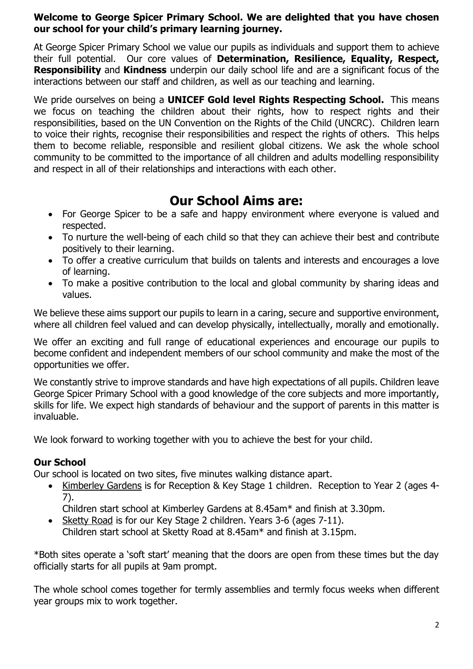#### **Welcome to George Spicer Primary School. We are delighted that you have chosen our school for your child's primary learning journey.**

At George Spicer Primary School we value our pupils as individuals and support them to achieve their full potential. Our core values of **Determination, Resilience, Equality, Respect, Responsibility** and **Kindness** underpin our daily school life and are a significant focus of the interactions between our staff and children, as well as our teaching and learning.

We pride ourselves on being a **UNICEF Gold level Rights Respecting School.** This means we focus on teaching the children about their rights, how to respect rights and their responsibilities, based on the UN Convention on the Rights of the Child (UNCRC). Children learn to voice their rights, recognise their responsibilities and respect the rights of others. This helps them to become reliable, responsible and resilient global citizens. We ask the whole school community to be committed to the importance of all children and adults modelling responsibility and respect in all of their relationships and interactions with each other.

### **Our School Aims are:**

- For George Spicer to be a safe and happy environment where everyone is valued and respected.
- To nurture the well-being of each child so that they can achieve their best and contribute positively to their learning.
- To offer a creative curriculum that builds on talents and interests and encourages a love of learning.
- To make a positive contribution to the local and global community by sharing ideas and values.

We believe these aims support our pupils to learn in a caring, secure and supportive environment, where all children feel valued and can develop physically, intellectually, morally and emotionally.

We offer an exciting and full range of educational experiences and encourage our pupils to become confident and independent members of our school community and make the most of the opportunities we offer.

We constantly strive to improve standards and have high expectations of all pupils. Children leave George Spicer Primary School with a good knowledge of the core subjects and more importantly, skills for life. We expect high standards of behaviour and the support of parents in this matter is invaluable.

We look forward to working together with you to achieve the best for your child.

#### **Our School**

Our school is located on two sites, five minutes walking distance apart.

• Kimberley Gardens is for Reception & Key Stage 1 children. Reception to Year 2 (ages 4- 7).

Children start school at Kimberley Gardens at 8.45am\* and finish at 3.30pm.

• Sketty Road is for our Key Stage 2 children. Years 3-6 (ages 7-11). Children start school at Sketty Road at 8.45am\* and finish at 3.15pm.

\*Both sites operate a 'soft start' meaning that the doors are open from these times but the day officially starts for all pupils at 9am prompt.

The whole school comes together for termly assemblies and termly focus weeks when different year groups mix to work together.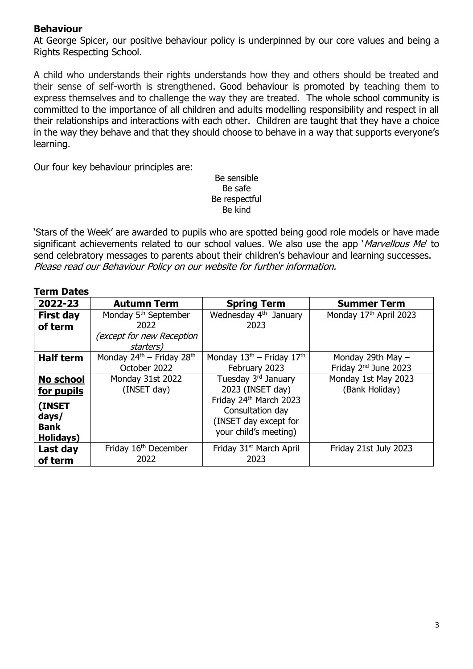#### **Behaviour**

At George Spicer, our positive behaviour policy is underpinned by our core values and being a Rights Respecting School.

A child who understands their rights understands how they and others should be treated and their sense of self-worth is strengthened. Good behaviour is promoted by teaching them to express themselves and to challenge the way they are treated. The whole school community is committed to the importance of all children and adults modelling responsibility and respect in all their relationships and interactions with each other. Children are taught that they have a choice in the way they behave and that they should choose to behave in a way that supports everyone's learning.

Our four key behaviour principles are:

Be sensible Be safe Be respectful Be kind

'Stars of the Week' are awarded to pupils who are spotted being good role models or have made significant achievements related to our school values. We also use the app '*Marvellous Me'* to send celebratory messages to parents about their children's behaviour and learning successes. Please read our Behaviour Policy on our website for further information.

| <b>Term Dates</b> |                                     |                                     |                                  |
|-------------------|-------------------------------------|-------------------------------------|----------------------------------|
| 2022-23           | <b>Autumn Term</b>                  | <b>Spring Term</b>                  | <b>Summer Term</b>               |
| <b>First day</b>  | Monday 5 <sup>th</sup> September    | Wednesday 4 <sup>th</sup> January   | Monday 17th April 2023           |
| of term           | 2022                                | 2023                                |                                  |
|                   | (except for new Reception           |                                     |                                  |
|                   | starters)                           |                                     |                                  |
| <b>Half term</b>  | Monday $24^{th}$ – Friday $28^{th}$ | Monday $13th$ – Friday $17th$       | Monday 29th May $-$              |
|                   | October 2022                        | February 2023                       | Friday 2 <sup>nd</sup> June 2023 |
| No school         | Monday 31st 2022                    | Tuesday 3rd January                 | Monday 1st May 2023              |
| for pupils        | (INSET day)                         | 2023 (INSET day)                    | (Bank Holiday)                   |
| (INSET            |                                     | Friday 24th March 2023              |                                  |
| days/             |                                     | Consultation day                    |                                  |
| <b>Bank</b>       |                                     | (INSET day except for               |                                  |
|                   |                                     | your child's meeting)               |                                  |
| Holidays)         |                                     |                                     |                                  |
| Last day          | Friday 16 <sup>th</sup> December    | Friday 31 <sup>st</sup> March April | Friday 21st July 2023            |
| of term           | 2022                                | 2023                                |                                  |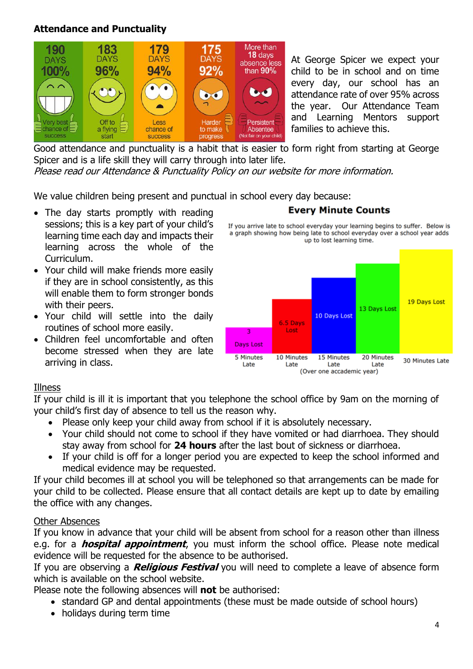#### **Attendance and Punctuality**



At George Spicer we expect your child to be in school and on time every day, our school has an attendance rate of over 95% across the year. Our Attendance Team and Learning Mentors support families to achieve this.

Good attendance and punctuality is a habit that is easier to form right from starting at George Spicer and is a life skill they will carry through into later life.

Please read our Attendance & Punctuality Policy on our website for more information.

We value children being present and punctual in school every day because:

- The day starts promptly with reading sessions; this is a key part of your child's learning time each day and impacts their learning across the whole of the Curriculum.
- Your child will make friends more easily if they are in school consistently, as this will enable them to form stronger bonds with their peers.
- Your child will settle into the daily routines of school more easily.
- Children feel uncomfortable and often become stressed when they are late arriving in class.

#### **Every Minute Counts**

If you arrive late to school everyday your learning begins to suffer. Below is a graph showing how being late to school everyday over a school year adds up to lost learning time.



#### Illness

If your child is ill it is important that you telephone the school office by 9am on the morning of your child's first day of absence to tell us the reason why.

- Please only keep your child away from school if it is absolutely necessary.
- Your child should not come to school if they have vomited or had diarrhoea. They should stay away from school for **24 hours** after the last bout of sickness or diarrhoea.
- If your child is off for a longer period you are expected to keep the school informed and medical evidence may be requested.

If your child becomes ill at school you will be telephoned so that arrangements can be made for your child to be collected. Please ensure that all contact details are kept up to date by emailing the office with any changes.

#### Other Absences

If you know in advance that your child will be absent from school for a reason other than illness e.g. for a **hospital appointment**, you must inform the school office. Please note medical evidence will be requested for the absence to be authorised.

If you are observing a **Religious Festival** you will need to complete a leave of absence form which is available on the school website.

Please note the following absences will **not** be authorised:

- standard GP and dental appointments (these must be made outside of school hours)
- holidays during term time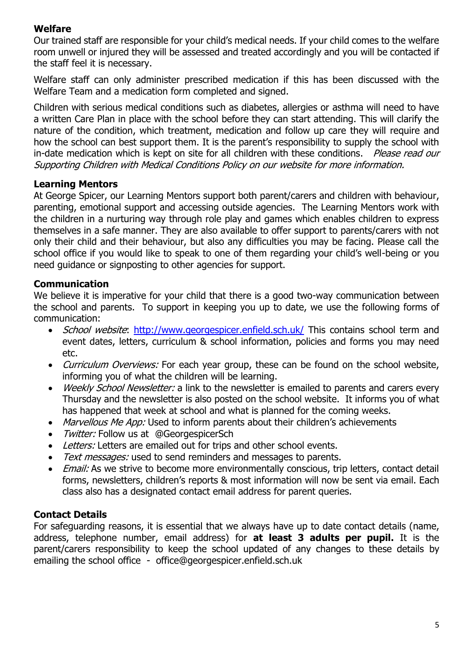#### **Welfare**

Our trained staff are responsible for your child's medical needs. If your child comes to the welfare room unwell or injured they will be assessed and treated accordingly and you will be contacted if the staff feel it is necessary.

Welfare staff can only administer prescribed medication if this has been discussed with the Welfare Team and a medication form completed and signed.

Children with serious medical conditions such as diabetes, allergies or asthma will need to have a written Care Plan in place with the school before they can start attending. This will clarify the nature of the condition, which treatment, medication and follow up care they will require and how the school can best support them. It is the parent's responsibility to supply the school with in-date medication which is kept on site for all children with these conditions. Please read our Supporting Children with Medical Conditions Policy on our website for more information.

#### **Learning Mentors**

At George Spicer, our Learning Mentors support both parent/carers and children with behaviour, parenting, emotional support and accessing outside agencies. The Learning Mentors work with the children in a nurturing way through role play and games which enables children to express themselves in a safe manner. They are also available to offer support to parents/carers with not only their child and their behaviour, but also any difficulties you may be facing. Please call the school office if you would like to speak to one of them regarding your child's well-being or you need guidance or signposting to other agencies for support.

#### **Communication**

We believe it is imperative for your child that there is a good two-way communication between the school and parents. To support in keeping you up to date, we use the following forms of communication:

- School website:<http://www.georgespicer.enfield.sch.uk/> This contains school term and event dates, letters, curriculum & school information, policies and forms you may need etc.
- Curriculum Overviews: For each year group, these can be found on the school website, informing you of what the children will be learning.
- Weekly School Newsletter: a link to the newsletter is emailed to parents and carers every Thursday and the newsletter is also posted on the school website. It informs you of what has happened that week at school and what is planned for the coming weeks.
- Marvellous Me App: Used to inform parents about their children's achievements
- *Twitter:* Follow us at @GeorgespicerSch
- Letters: Letters are emailed out for trips and other school events.
- Text messages: used to send reminders and messages to parents.
- **Email:** As we strive to become more environmentally conscious, trip letters, contact detail forms, newsletters, children's reports & most information will now be sent via email. Each class also has a designated contact email address for parent queries.

#### **Contact Details**

For safeguarding reasons, it is essential that we always have up to date contact details (name, address, telephone number, email address) for **at least 3 adults per pupil.** It is the parent/carers responsibility to keep the school updated of any changes to these details by emailing the school office - [office@georgespicer.enfield.sch.uk](mailto:office@georgespicer.enfield.sch.uk)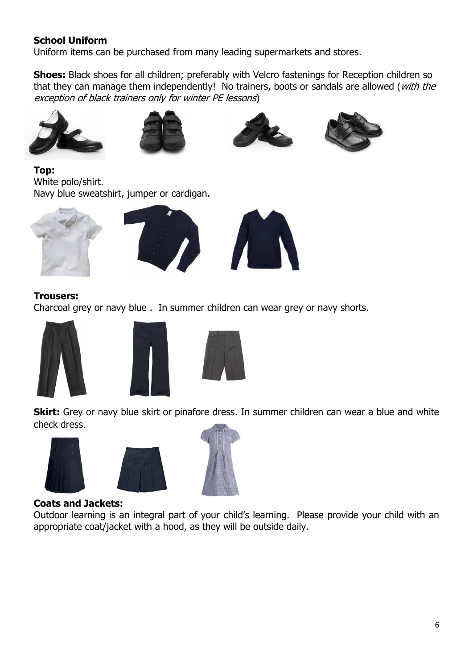#### **School Uniform**

Uniform items can be purchased from many leading supermarkets and stores.

**Shoes:** Black shoes for all children; preferably with Velcro fastenings for Reception children so that they can manage them independently! No trainers, boots or sandals are allowed (with the exception of black trainers only for winter PE lessons)









**Top:**  White polo/shirt. Navy blue sweatshirt, jumper or cardigan.







#### **Trousers:**

Charcoal grey or navy blue . In summer children can wear grey or navy shorts.







**Skirt:** Grey or navy blue skirt or pinafore dress. In summer children can wear a blue and white check dress.







#### **Coats and Jackets:**

Outdoor learning is an integral part of your child's learning. Please provide your child with an appropriate coat/jacket with a hood, as they will be outside daily.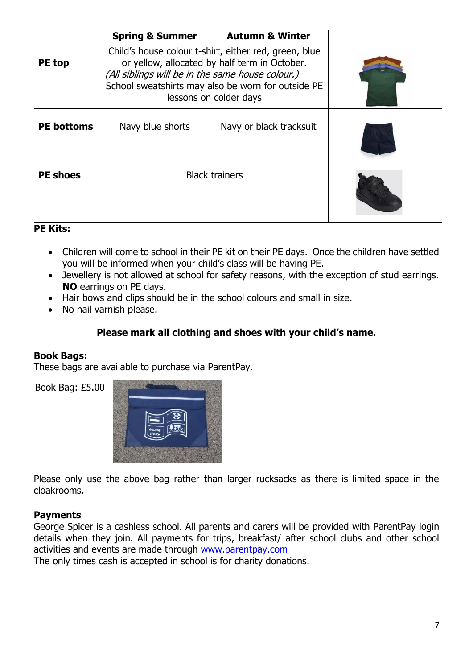|                   | <b>Spring &amp; Summer</b>                                                                                                                                                                                                                 | <b>Autumn &amp; Winter</b> |  |
|-------------------|--------------------------------------------------------------------------------------------------------------------------------------------------------------------------------------------------------------------------------------------|----------------------------|--|
| PE top            | Child's house colour t-shirt, either red, green, blue<br>or yellow, allocated by half term in October.<br>(All siblings will be in the same house colour.)<br>School sweatshirts may also be worn for outside PE<br>lessons on colder days |                            |  |
| <b>PE</b> bottoms | Navy blue shorts                                                                                                                                                                                                                           | Navy or black tracksuit    |  |
| <b>PE shoes</b>   | <b>Black trainers</b>                                                                                                                                                                                                                      |                            |  |

#### **PE Kits:**

- Children will come to school in their PE kit on their PE days. Once the children have settled you will be informed when your child's class will be having PE.
- Jewellery is not allowed at school for safety reasons, with the exception of stud earrings. **NO** earrings on PE days.
- Hair bows and clips should be in the school colours and small in size.
- No nail varnish please.

#### **Please mark all clothing and shoes with your child's name.**

#### **Book Bags:**

These bags are available to purchase via ParentPay.

Book Bag: £5.00



Please only use the above bag rather than larger rucksacks as there is limited space in the cloakrooms.

#### **Payments**

George Spicer is a cashless school. All parents and carers will be provided with ParentPay login details when they join. All payments for trips, breakfast/ after school clubs and other school activities and events are made through [www.parentpay.com](http://www.parentpay.com/)

The only times cash is accepted in school is for charity donations.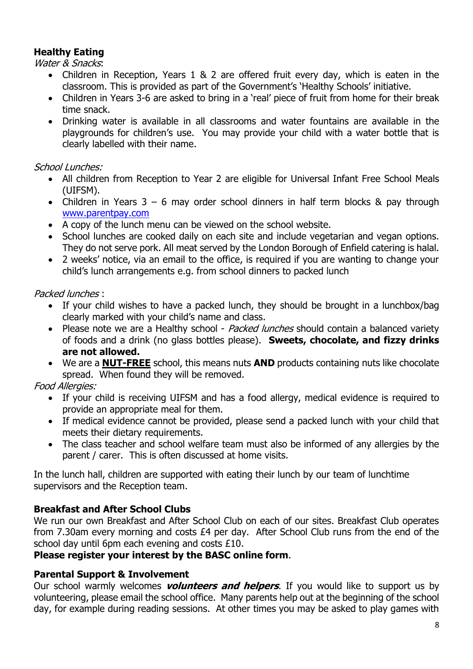#### **Healthy Eating**

Water & Snacks:

- Children in Reception, Years 1 & 2 are offered fruit every day, which is eaten in the classroom. This is provided as part of the Government's 'Healthy Schools' initiative.
- Children in Years 3-6 are asked to bring in a 'real' piece of fruit from home for their break time snack.
- Drinking water is available in all classrooms and water fountains are available in the playgrounds for children's use. You may provide your child with a water bottle that is clearly labelled with their name.

#### School Lunches:

- All children from Reception to Year 2 are eligible for Universal Infant Free School Meals (UIFSM).
- Children in Years 3 6 may order school dinners in half term blocks & pay through [www.parentpay.com](http://www.parentpay.com/)
- A copy of the lunch menu can be viewed on the school website.
- School lunches are cooked daily on each site and include vegetarian and vegan options. They do not serve pork. All meat served by the London Borough of Enfield catering is halal.
- 2 weeks' notice, via an email to the office, is required if you are wanting to change your child's lunch arrangements e.g. from school dinners to packed lunch

#### Packed lunches :

- If your child wishes to have a packed lunch, they should be brought in a lunchbox/bag clearly marked with your child's name and class.
- Please note we are a Healthy school *Packed lunches* should contain a balanced variety of foods and a drink (no glass bottles please). **Sweets, chocolate, and fizzy drinks are not allowed.**
- We are a **NUT-FREE** school, this means nuts **AND** products containing nuts like chocolate spread. When found they will be removed.

#### Food Allergies:

- If your child is receiving UIFSM and has a food allergy, medical evidence is required to provide an appropriate meal for them.
- If medical evidence cannot be provided, please send a packed lunch with your child that meets their dietary requirements.
- The class teacher and school welfare team must also be informed of any allergies by the parent / carer. This is often discussed at home visits.

In the lunch hall, children are supported with eating their lunch by our team of lunchtime supervisors and the Reception team.

#### **Breakfast and After School Clubs**

We run our own Breakfast and After School Club on each of our sites. Breakfast Club operates from 7.30am every morning and costs £4 per day. After School Club runs from the end of the school day until 6pm each evening and costs £10.

#### **Please register your interest by the BASC online form**.

#### **Parental Support & Involvement**

Our school warmly welcomes **volunteers and helpers**. If you would like to support us by volunteering, please email the school office. Many parents help out at the beginning of the school day, for example during reading sessions. At other times you may be asked to play games with